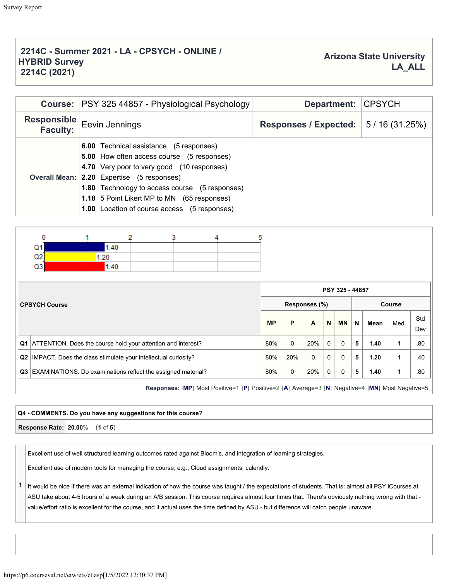## **2214C - Summer 2021 - LA - CPSYCH - ONLINE / HYBRID Survey 2214C (2021)**

|                                | Course: PSY 325 44857 - Physiological Psychology                                                                                                                                                                                                                                                                                                                      | Department: CPSYCH    |              |
|--------------------------------|-----------------------------------------------------------------------------------------------------------------------------------------------------------------------------------------------------------------------------------------------------------------------------------------------------------------------------------------------------------------------|-----------------------|--------------|
| Responsible<br><b>Faculty:</b> | Eevin Jennings                                                                                                                                                                                                                                                                                                                                                        | Responses / Expected: | 5/16(31.25%) |
|                                | <b>6.00</b> Technical assistance (5 responses)<br><b>5.00</b> How often access course (5 responses)<br>4.70 Very poor to very good (10 responses)<br><b>Overall Mean: 2.20</b> Expertise (5 responses)<br><b>1.80</b> Technology to access course (5 responses)<br>1.18 5 Point Likert MP to MN (65 responses)<br><b>1.00</b> Location of course access (5 responses) |                       |              |

| 0                                                                  |      |  | 3 |               | 5 |           |             |              |              |                 |             |      |      |            |
|--------------------------------------------------------------------|------|--|---|---------------|---|-----------|-------------|--------------|--------------|-----------------|-------------|------|------|------------|
| Q1                                                                 | 1.40 |  |   |               |   |           |             |              |              |                 |             |      |      |            |
| Q <sub>2</sub>                                                     | 1.20 |  |   |               |   |           |             |              |              |                 |             |      |      |            |
| Q3                                                                 | 1.40 |  |   |               |   |           |             |              |              |                 |             |      |      |            |
|                                                                    |      |  |   |               |   |           |             |              |              | PSY 325 - 44857 |             |      |      |            |
| <b>CPSYCH Course</b>                                               |      |  |   | Responses (%) |   |           |             |              |              | Course          |             |      |      |            |
|                                                                    |      |  |   |               |   | <b>MP</b> | P           | $\mathbf{A}$ | $\mathbf N$  | <b>MN</b>       | $\mathbf N$ | Mean | Med. | Std<br>Dev |
| Q1   ATTENTION. Does the course hold your attention and interest?  |      |  |   |               |   | 80%       | $\Omega$    | 20%          | $\mathbf{0}$ | $\Omega$        | 5           | 1.40 | 1    | .80        |
| Q2   IMPACT. Does the class stimulate your intellectual curiosity? |      |  |   |               |   | 80%       | 20%         | $\mathbf{0}$ | $\mathbf 0$  | $\Omega$        | 5           | 1.20 | 1    | .40        |
| Q3 EXAMINATIONS. Do examinations reflect the assigned material?    |      |  |   |               |   | 80%       | $\mathbf 0$ | 20%          | $\mathbf{0}$ | $\Omega$        | 5           | 1.40 | 1    | .80        |
|                                                                    |      |  |   |               |   |           |             |              |              |                 |             |      |      |            |

**Responses:** [**MP**] Most Positive=1 [**P**] Positive=2 [**A**] Average=3 [**N**] Negative=4 [**MN**] Most Negative=5

## **Q4 - COMMENTS. Do you have any suggestions for this course? Response Rate: 20.00**% (**1** of **5**)

Excellent use of well structured learning outcomes rated against Bloom's, and integration of learning strategies.

Excellent use of modern tools for managing the course, e.g., Cloud assignments, calendly.

**1** It would be nice if there was an external indication of how the course was taught / the expectations of students. That is: almost all PSY iCourses at ASU take about 4-5 hours of a week during an A/B session. This course requires almost four times that. There's obviously nothing wrong with that value/effort ratio is excellent for the course, and it actual uses the time defined by ASU - but difference will catch people unaware.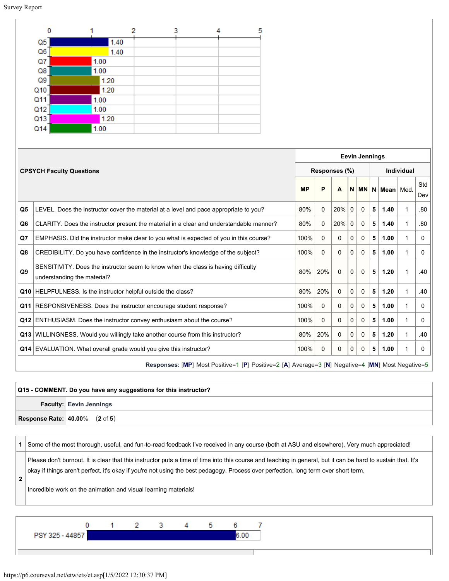| n               |      |      |  | 5 |
|-----------------|------|------|--|---|
| Q <sub>5</sub>  |      | 1.40 |  |   |
| Q <sub>6</sub>  |      | 1.40 |  |   |
| Q7              | 1.00 |      |  |   |
| Q8              | 1.00 |      |  |   |
| Q9              |      | 1.20 |  |   |
| Q <sub>10</sub> |      | 1.20 |  |   |
| Q11             | 1.00 |      |  |   |
| Q <sub>12</sub> | 1.00 |      |  |   |
| Q <sub>13</sub> |      | 1.20 |  |   |
| Q14             | 1.00 |      |  |   |

|    |                                                                                                                  |           |               | <b>Eevin Jennings</b> |                   |              |   |                      |   |            |  |  |  |  |  |
|----|------------------------------------------------------------------------------------------------------------------|-----------|---------------|-----------------------|-------------------|--------------|---|----------------------|---|------------|--|--|--|--|--|
|    | <b>CPSYCH Faculty Questions</b>                                                                                  |           | Responses (%) |                       | <b>Individual</b> |              |   |                      |   |            |  |  |  |  |  |
|    |                                                                                                                  | <b>MP</b> | P             | A                     |                   |              |   | $N$ MN $N$ Mean Med. |   | Std<br>Dev |  |  |  |  |  |
| Q5 | LEVEL. Does the instructor cover the material at a level and pace appropriate to you?                            | 80%       | 0             | 20%                   | 0                 | $\mathbf 0$  | 5 | 1.40                 | 1 | .80        |  |  |  |  |  |
| Q6 | CLARITY. Does the instructor present the material in a clear and understandable manner?                          | 80%       | $\Omega$      | 20%                   | $\mathbf{0}$      | $\Omega$     | 5 | 1.40                 | 1 | .80        |  |  |  |  |  |
| Q7 | EMPHASIS. Did the instructor make clear to you what is expected of you in this course?                           | 100%      | $\Omega$      | $\Omega$              | 0                 | 0            | 5 | 1.00                 | 1 | 0          |  |  |  |  |  |
| Q8 | CREDIBILITY. Do you have confidence in the instructor's knowledge of the subject?                                | 100%      | $\Omega$      | $\Omega$              | $\Omega$          | $\mathbf{0}$ | 5 | 1.00                 |   | 0          |  |  |  |  |  |
| Q9 | SENSITIVITY. Does the instructor seem to know when the class is having difficulty<br>understanding the material? | 80%       | 20%           | $\Omega$              | $\Omega$          | $\Omega$     | 5 | 1.20                 | 1 | .40        |  |  |  |  |  |
|    | Q10 HELPFULNESS. Is the instructor helpful outside the class?                                                    | 80%       | 20%           | $\mathbf{0}$          | $\Omega$          | $\Omega$     | 5 | 1.20                 | 1 | .40        |  |  |  |  |  |
|    | <b>Q11</b> RESPONSIVENESS. Does the instructor encourage student response?                                       | 100%      | $\mathbf{0}$  | $\mathbf{0}$          | 0                 | $\Omega$     | 5 | 1.00                 | 1 | 0          |  |  |  |  |  |
|    | Q12 ENTHUSIASM. Does the instructor convey enthusiasm about the course?                                          | 100%      | $\mathbf{0}$  | $\Omega$              | $\Omega$          | $\mathbf{0}$ | 5 | 1.00                 | 1 | 0          |  |  |  |  |  |
|    | Q13 WILLINGNESS. Would you willingly take another course from this instructor?                                   | 80%       | 20%           | $\Omega$              | $\Omega$          | $\Omega$     | 5 | 1.20                 | 1 | .40        |  |  |  |  |  |
|    | Q14 EVALUATION. What overall grade would you give this instructor?                                               | 100%      | 0             | 0                     | $\Omega$          | $\Omega$     | 5 | 1.00                 | 1 | 0          |  |  |  |  |  |
|    | Responses: [MP] Most Positive=1 [P] Positive=2 [A] Average=3 [N] Negative=4 [MN] Most Negative=5                 |           |               |                       |                   |              |   |                      |   |            |  |  |  |  |  |

| $\sqrt{Q15}$ - COMMENT. Do you have any suggestions for this instructor? |                                                   |  |  |  |  |  |
|--------------------------------------------------------------------------|---------------------------------------------------|--|--|--|--|--|
|                                                                          | <b>Faculty: Eevin Jennings</b>                    |  |  |  |  |  |
|                                                                          | <b>Response Rate:</b> $ 40.00\% \t(2 \t{ of } 5)$ |  |  |  |  |  |



Please don't burnout. It is clear that this instructor puts a time of time into this course and teaching in general, but it can be hard to sustain that. It's okay if things aren't perfect, it's okay if you're not using the best pedagogy. Process over perfection, long term over short term.

**2**

Incredible work on the animation and visual learning materials!

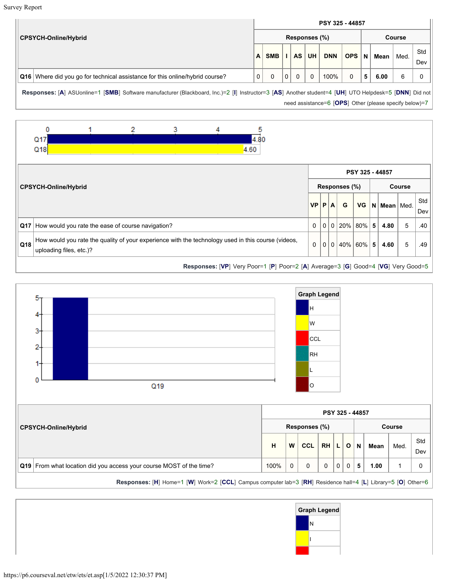Survey Report

|                             |                                                                                |               |            |              |           |           | PSY 325 - 44857 |            |              |               |      |            |  |
|-----------------------------|--------------------------------------------------------------------------------|---------------|------------|--------------|-----------|-----------|-----------------|------------|--------------|---------------|------|------------|--|
| <b>CPSYCH-Online/Hybrid</b> |                                                                                | Responses (%) |            |              |           |           |                 |            |              | <b>Course</b> |      |            |  |
|                             |                                                                                | $\mathsf{A}$  | <b>SMB</b> |              | <b>AS</b> | <b>UH</b> | <b>DNN</b>      | <b>OPS</b> | $\mathsf{N}$ | <b>Mean</b>   | Med. | Std<br>Dev |  |
|                             | Q16   Where did you go for technical assistance for this online/hybrid course? | $\mathbf 0$   |            | $\mathbf{0}$ | 0         | $\Omega$  | 100%            | $\Omega$   | 5            | 6.00          | ี    |            |  |

**Responses:** [**A**] ASUonline=1 [**SMB**] Software manufacturer (Blackboard, Inc.)=2 [**I**] Instructor=3 [**AS**] Another student=4 [**UH**] UTO Helpdesk=5 [**DNN**] Did not need assistance=6 [**OPS**] Other (please specify below)=7





**Responses:** [**H**] Home=1 [**W**] Work=2 [**CCL**] Campus computer lab=3 [**RH**] Residence hall=4 [**L**] Library=5 [**O**] Other=6

|  | <b>Graph Legend</b> |
|--|---------------------|
|  | Ν                   |
|  |                     |
|  |                     |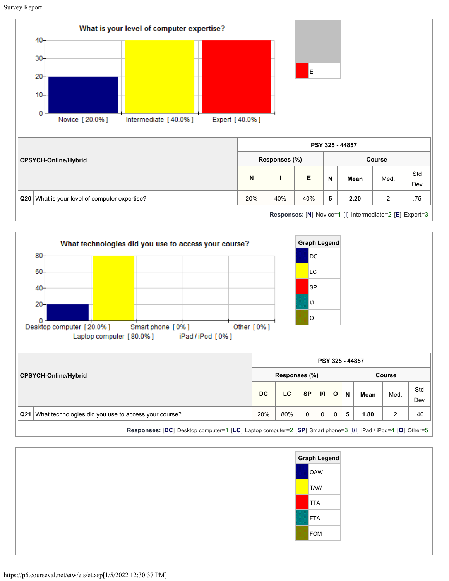





**Responses:** [**DC**] Desktop computer=1 [**LC**] Laptop computer=2 [**SP**] Smart phone=3 [**I/I**] iPad / iPod=4 [**O**] Other=5

| Graph Legend |  |  |  |  |  |  |  |  |
|--------------|--|--|--|--|--|--|--|--|
| OAW          |  |  |  |  |  |  |  |  |
| TAW          |  |  |  |  |  |  |  |  |
| <b>TTA</b>   |  |  |  |  |  |  |  |  |
| FTA          |  |  |  |  |  |  |  |  |
| <b>FOM</b>   |  |  |  |  |  |  |  |  |